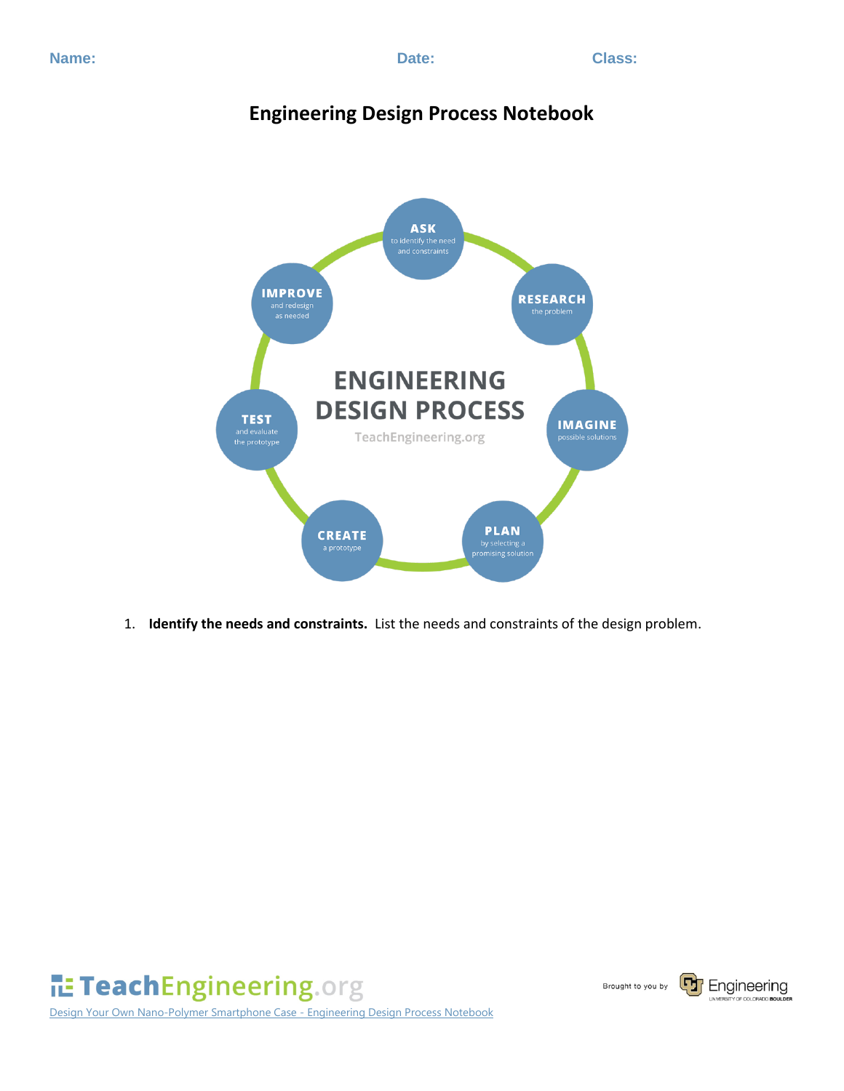## **Engineering Design Process Notebook**



1. **Identify the needs and constraints.** List the needs and constraints of the design problem.



Design Your Own Nano-Polymer Smartphone Case - Engineering Design Process Notebook

Brought to you by

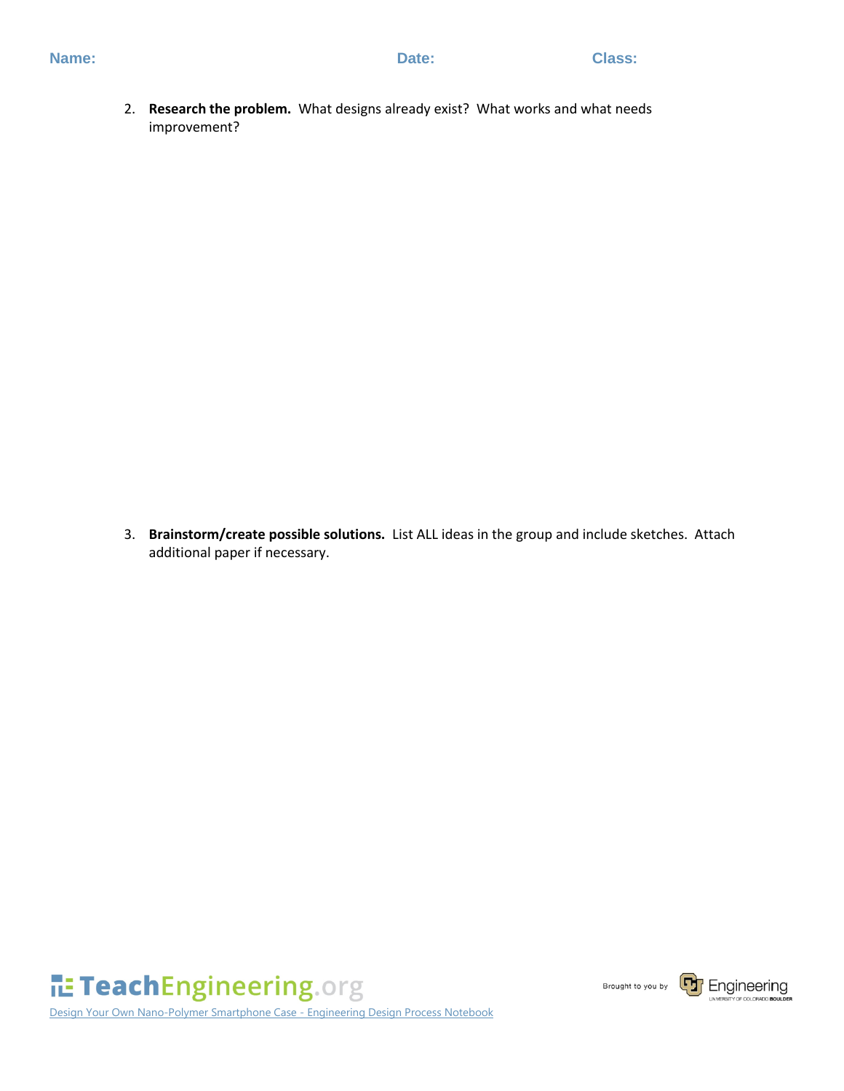2. **Research the problem.** What designs already exist? What works and what needs improvement?

3. **Brainstorm/create possible solutions.** List ALL ideas in the group and include sketches. Attach additional paper if necessary.

TeachEngineering.org

Design Your Own Nano-Polymer Smartphone Case - Engineering Design Process Notebook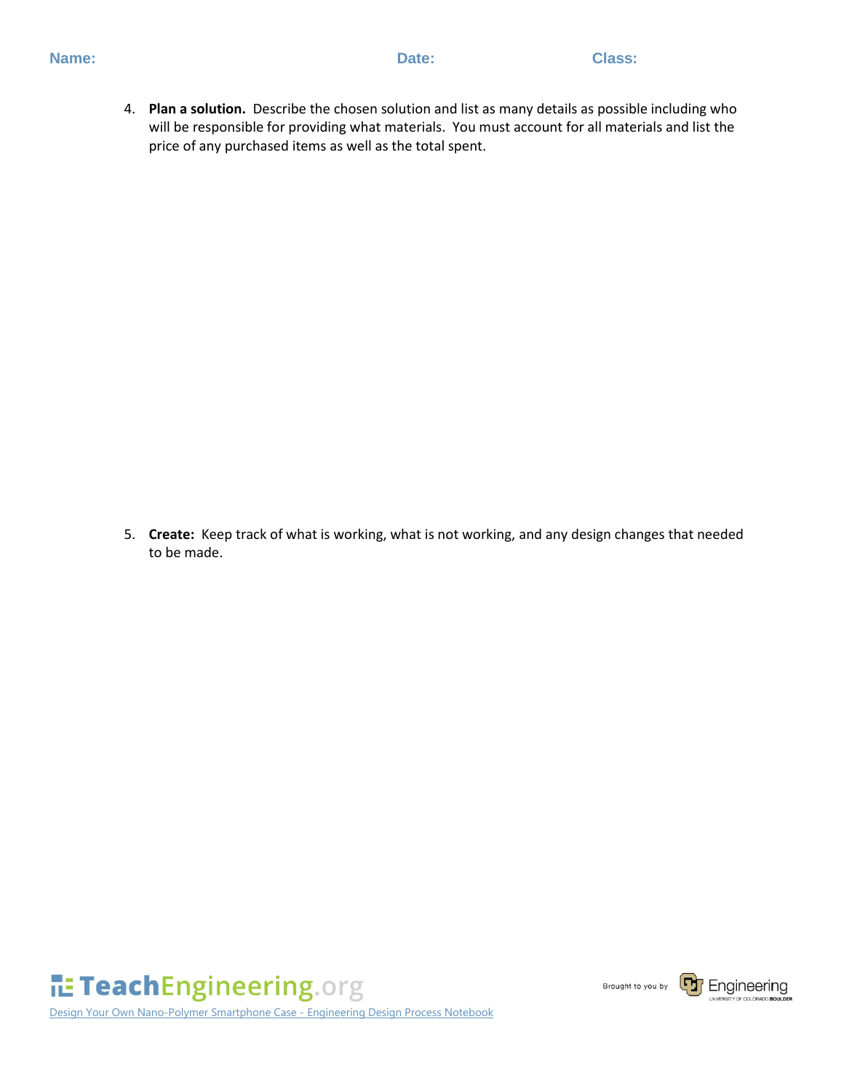4. **Plan a solution.** Describe the chosen solution and list as many details as possible including who will be responsible for providing what materials. You must account for all materials and list the price of any purchased items as well as the total spent.

5. **Create:** Keep track of what is working, what is not working, and any design changes that needed to be made.

TeachEngineering.org

Design Your Own Nano-Polymer Smartphone Case - Engineering Design Process Notebook